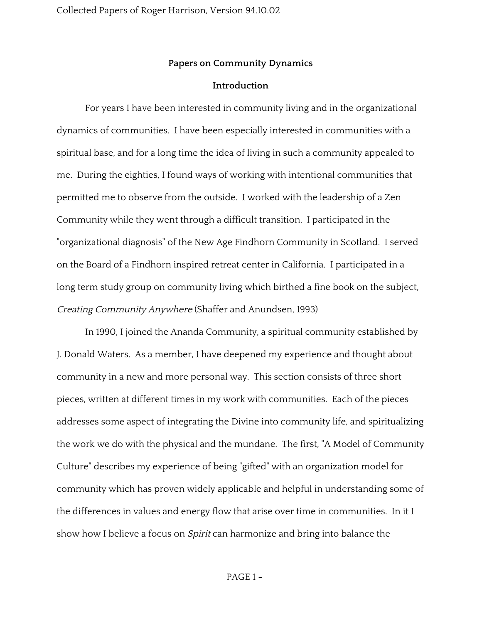## **Papers on Community Dynamics**

### **Introduction**

For years I have been interested in community living and in the organizational dynamics of communities. I have been especially interested in communities with a spiritual base, and for a long time the idea of living in such a community appealed to me. During the eighties, I found ways of working with intentional communities that permitted me to observe from the outside. I worked with the leadership of a Zen Community while they went through a difficult transition. I participated in the "organizational diagnosis" of the New Age Findhorn Community in Scotland. I served on the Board of a Findhorn inspired retreat center in California. I participated in a long term study group on community living which birthed a fine book on the subject, Creating Community Anywhere (Shaffer and Anundsen, 1993)

In 1990, I joined the Ananda Community, a spiritual community established by J. Donald Waters. As a member, I have deepened my experience and thought about community in a new and more personal way. This section consists of three short pieces, written at different times in my work with communities. Each of the pieces addresses some aspect of integrating the Divine into community life, and spiritualizing the work we do with the physical and the mundane. The first, "A Model of Community Culture" describes my experience of being "gifted" with an organization model for community which has proven widely applicable and helpful in understanding some of the differences in values and energy flow that arise over time in communities. In it I show how I believe a focus on *Spirit* can harmonize and bring into balance the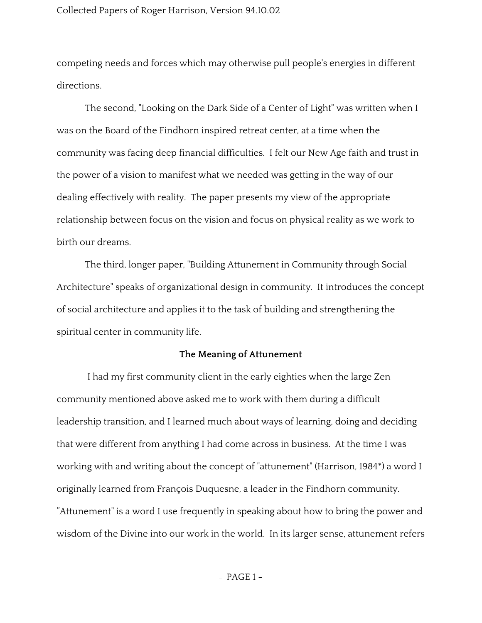## Collected Papers of Roger Harrison, Version 94.10.02

competing needs and forces which may otherwise pull people's energies in different directions.

The second, "Looking on the Dark Side of a Center of Light" was written when I was on the Board of the Findhorn inspired retreat center, at a time when the community was facing deep financial difficulties. I felt our New Age faith and trust in the power of a vision to manifest what we needed was getting in the way of our dealing effectively with reality. The paper presents my view of the appropriate relationship between focus on the vision and focus on physical reality as we work to birth our dreams.

The third, longer paper, "Building Attunement in Community through Social Architecture" speaks of organizational design in community. It introduces the concept of social architecture and applies it to the task of building and strengthening the spiritual center in community life.

# **The Meaning of Attunement**

I had my first community client in the early eighties when the large Zen community mentioned above asked me to work with them during a difficult leadership transition, and I learned much about ways of learning, doing and deciding that were different from anything I had come across in business. At the time I was working with and writing about the concept of "attunement" (Harrison, 1984\*) a word I originally learned from François Duquesne, a leader in the Findhorn community. "Attunement" is a word I use frequently in speaking about how to bring the power and wisdom of the Divine into our work in the world. In its larger sense, attunement refers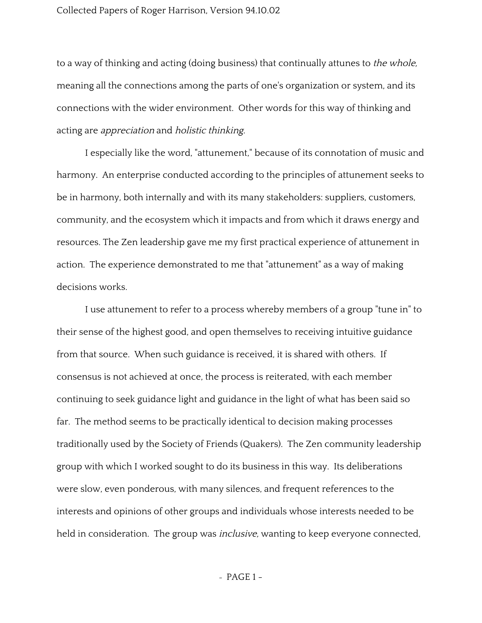### Collected Papers of Roger Harrison, Version 94.10.02

to a way of thinking and acting (doing business) that continually attunes to *the whole*, meaning all the connections among the parts of one's organization or system, and its connections with the wider environment. Other words for this way of thinking and acting are appreciation and holistic thinking.

I especially like the word, "attunement," because of its connotation of music and harmony. An enterprise conducted according to the principles of attunement seeks to be in harmony, both internally and with its many stakeholders: suppliers, customers, community, and the ecosystem which it impacts and from which it draws energy and resources. The Zen leadership gave me my first practical experience of attunement in action. The experience demonstrated to me that "attunement" as a way of making decisions works.

I use attunement to refer to a process whereby members of a group "tune in" to their sense of the highest good, and open themselves to receiving intuitive guidance from that source. When such guidance is received, it is shared with others. If consensus is not achieved at once, the process is reiterated, with each member continuing to seek guidance light and guidance in the light of what has been said so far. The method seems to be practically identical to decision making processes traditionally used by the Society of Friends (Quakers). The Zen community leadership group with which I worked sought to do its business in this way. Its deliberations were slow, even ponderous, with many silences, and frequent references to the interests and opinions of other groups and individuals whose interests needed to be held in consideration. The group was *inclusive*, wanting to keep everyone connected,